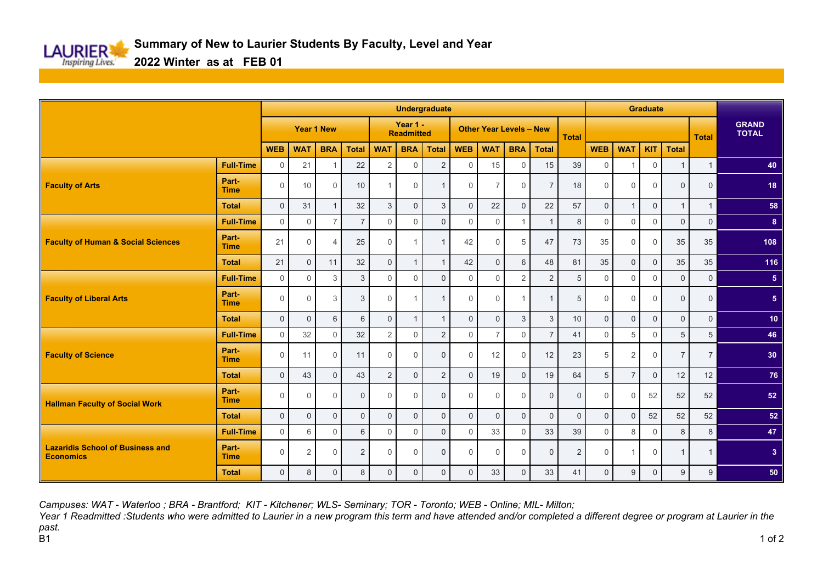

**2022 Winter as at FEB 01**

|                                                             | <b>Undergraduate</b> |                     |                   |                |                     |                |                               |                |              |                                |                |                     |              | <b>Graduate</b> |                |             |                |                |                              |
|-------------------------------------------------------------|----------------------|---------------------|-------------------|----------------|---------------------|----------------|-------------------------------|----------------|--------------|--------------------------------|----------------|---------------------|--------------|-----------------|----------------|-------------|----------------|----------------|------------------------------|
|                                                             |                      |                     | <b>Year 1 New</b> |                |                     |                | Year 1 -<br><b>Readmitted</b> |                |              | <b>Other Year Levels - New</b> |                |                     |              |                 |                |             |                | <b>Total</b>   | <b>GRAND</b><br><b>TOTAL</b> |
|                                                             |                      | <b>WEB</b>          | <b>WAT</b>        | <b>BRA</b>     | <b>Total</b>        | <b>WAT</b>     | <b>BRA</b>                    | <b>Total</b>   | <b>WEB</b>   | <b>WAT</b>                     | <b>BRA</b>     | <b>Total</b>        |              | <b>WEB</b>      | <b>WAT</b>     | <b>KIT</b>  | <b>Total</b>   |                |                              |
| <b>Faculty of Arts</b>                                      | <b>Full-Time</b>     | $\mathbf 0$         | 21                |                | 22                  | 2              | $\Omega$                      | 2              | $\Omega$     | 15                             | $\Omega$       | 15                  | 39           | $\Omega$        |                | $\Omega$    | $\overline{1}$ | $\mathbf{1}$   | 40                           |
|                                                             | Part-<br><b>Time</b> | $\mathbf{0}$        | 10                | $\Omega$       | 10                  |                | $\Omega$                      | $\mathbf 1$    | $\Omega$     | 7                              | $\Omega$       | $\overline{7}$      | 18           | $\Omega$        | $\Omega$       | $\Omega$    | $\Omega$       | $\mathbf 0$    | 18                           |
|                                                             | <b>Total</b>         | $\overline{0}$      | 31                | $\overline{1}$ | 32                  | 3              | $\Omega$                      | $\mathbf{3}$   | $\Omega$     | 22                             | $\Omega$       | 22                  | 57           | $\Omega$        | $\overline{1}$ | $\Omega$    | $\overline{1}$ | $\mathbf{1}$   | 58                           |
|                                                             | <b>Full-Time</b>     | $\mathbf{0}$        | $\Omega$          | $\overline{7}$ | $\overline{7}$      | $\Omega$       | $\Omega$                      | $\Omega$       | $\Omega$     | $\Omega$                       | $\overline{1}$ | $\overline{1}$      | 8            | $\Omega$        | $\Omega$       | $\Omega$    | $\overline{0}$ | $\mathbf 0$    | 8 <sup>2</sup>               |
| <b>Faculty of Human &amp; Social Sciences</b>               | Part-<br><b>Time</b> | 21                  | $\Omega$          | $\overline{4}$ | 25                  | $\Omega$       |                               | $\overline{1}$ | 42           | $\Omega$                       | 5              | 47                  | 73           | 35              | $\Omega$       | $\Omega$    | 35             | 35             | 108                          |
|                                                             | <b>Total</b>         | 21                  | $\Omega$          | 11             | 32                  | $\Omega$       | $\mathbf{1}$                  | $\overline{1}$ | 42           | $\mathbf 0$                    | 6              | 48                  | 81           | 35              | $\Omega$       | $\Omega$    | 35             | 35             | 116                          |
| <b>Faculty of Liberal Arts</b>                              | <b>Full-Time</b>     | $\mathbf 0$         | $\Omega$          | 3              | 3                   | $\Omega$       | $\Omega$                      | $\Omega$       | $\Omega$     | $\Omega$                       | 2              | 2                   | 5            | $\Omega$        | $\Omega$       | $\Omega$    | $\overline{0}$ | $\mathbf 0$    | 5 <sub>5</sub>               |
|                                                             | Part-<br><b>Time</b> | $\mathbf 0$         | $\Omega$          | 3              | 3                   | $\Omega$       |                               | $\overline{1}$ | $\Omega$     | $\Omega$                       | $\overline{1}$ |                     | 5            | $\Omega$        | $\Omega$       | $\Omega$    | $\mathbf 0$    | $\mathbf 0$    | 5 <sub>5</sub>               |
|                                                             | <b>Total</b>         | $\mathbf 0$         | $\Omega$          | 6              | 6                   | $\Omega$       | $\mathbf{1}$                  | $\overline{1}$ | $\Omega$     | $\Omega$                       | 3              | 3                   | 10           | $\Omega$        | $\Omega$       | $\Omega$    | $\mathbf{0}$   | $\mathbf 0$    | 10 <sub>1</sub>              |
| <b>Faculty of Science</b>                                   | <b>Full-Time</b>     | $\mathsf{O}\xspace$ | 32                | $\Omega$       | 32                  | $\mathbf{2}$   | $\mathbf 0$                   | $\mathbf 2$    | $\mathbf 0$  | $\overline{7}$                 | $\mathbf 0$    | $\overline{7}$      | 41           | $\Omega$        | 5              | $\Omega$    | 5              | 5              | 46                           |
|                                                             | Part-<br><b>Time</b> | $\mathsf{O}\xspace$ | 11                | $\Omega$       | 11                  | $\Omega$       | $\Omega$                      | $\overline{0}$ | $\Omega$     | 12                             | $\Omega$       | 12                  | 23           | 5               | 2              | $\Omega$    | $\overline{7}$ | $\overline{7}$ | 30                           |
|                                                             | <b>Total</b>         | $\mathsf{O}\xspace$ | 43                | $\mathbf{0}$   | 43                  | $\overline{2}$ | $\mathbf{0}$                  | $\overline{2}$ | $\mathbf{0}$ | 19                             | $\mathbf{0}$   | 19                  | 64           | 5               | $\overline{7}$ | $\mathbf 0$ | 12             | 12             | 76                           |
| <b>Hallman Faculty of Social Work</b>                       | Part-<br><b>Time</b> | $\mathsf{O}\xspace$ | $\Omega$          | $\Omega$       | $\mathbf{0}$        | $\Omega$       | $\Omega$                      | $\overline{0}$ | $\Omega$     | $\Omega$                       | $\Omega$       | $\mathbf 0$         | $\mathbf{0}$ | $\Omega$        | $\Omega$       | 52          | 52             | 52             | 52                           |
|                                                             | <b>Total</b>         | $\mathsf{O}\xspace$ | $\mathbf 0$       | $\mathbf{0}$   | $\mathsf{O}\xspace$ | $\mathbf 0$    | $\mathbf{0}$                  | $\mathbf{0}$   | $\mathbf{0}$ | $\mathbf 0$                    | $\mathbf{0}$   | $\mathsf{O}\xspace$ | $\mathbf{0}$ | $\mathbf{0}$    | $\mathbf 0$    | 52          | 52             | 52             | 52                           |
|                                                             | <b>Full-Time</b>     | $\mathsf{O}\xspace$ | 6                 | $\Omega$       | 6                   | $\Omega$       | $\Omega$                      | $\Omega$       | $\Omega$     | 33                             | $\Omega$       | 33                  | 39           | $\Omega$        | 8              | $\Omega$    | 8              | 8              | 47                           |
| <b>Lazaridis School of Business and</b><br><b>Economics</b> | Part-<br><b>Time</b> | $\mathsf{O}\xspace$ | 2                 | $\Omega$       | $\overline{2}$      | $\Omega$       | $\Omega$                      | $\mathbf{0}$   | $\Omega$     | $\Omega$                       | $\Omega$       | $\mathbf{0}$        | 2            | $\Omega$        | $\overline{1}$ | $\Omega$    | $\mathbf{1}$   | $\mathbf{1}$   | 3 <sup>2</sup>               |
|                                                             | <b>Total</b>         | $\mathsf{O}\xspace$ | 8                 | $\Omega$       | 8                   | $\mathbf{0}$   | $\Omega$                      | $\mathbf{0}$   | $\mathbf 0$  | 33                             | $\mathbf 0$    | 33                  | 41           | 0               | 9              | $\Omega$    | 9              | 9              | 50                           |

*Campuses: WAT - Waterloo ; BRA - Brantford; KIT - Kitchener; WLS- Seminary; TOR - Toronto; WEB - Online; MIL- Milton;*

*Year 1 Readmitted :Students who were admitted to Laurier in a new program this term and have attended and/or completed a different degree or program at Laurier in the past.* B1 1 of 2